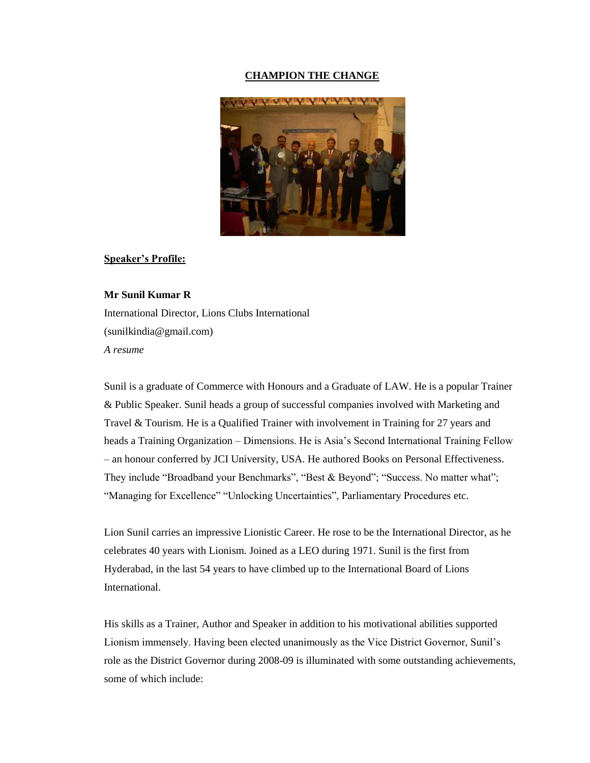#### **CHAMPION THE CHANGE**



#### **Speaker's Profile:**

### **Mr Sunil Kumar R**

International Director, Lions Clubs International (sunilkindia@gmail.com) *A resume*

Sunil is a graduate of Commerce with Honours and a Graduate of LAW. He is a popular Trainer & Public Speaker. Sunil heads a group of successful companies involved with Marketing and Travel & Tourism. He is a Qualified Trainer with involvement in Training for 27 years and heads a Training Organization – Dimensions. He is Asia's Second International Training Fellow – an honour conferred by JCI University, USA. He authored Books on Personal Effectiveness. They include "Broadband your Benchmarks", "Best & Beyond"; "Success. No matter what"; "Managing for Excellence" "Unlocking Uncertainties", Parliamentary Procedures etc.

Lion Sunil carries an impressive Lionistic Career. He rose to be the International Director, as he celebrates 40 years with Lionism. Joined as a LEO during 1971. Sunil is the first from Hyderabad, in the last 54 years to have climbed up to the International Board of Lions International.

His skills as a Trainer, Author and Speaker in addition to his motivational abilities supported Lionism immensely. Having been elected unanimously as the Vice District Governor, Sunil's role as the District Governor during 2008-09 is illuminated with some outstanding achievements, some of which include: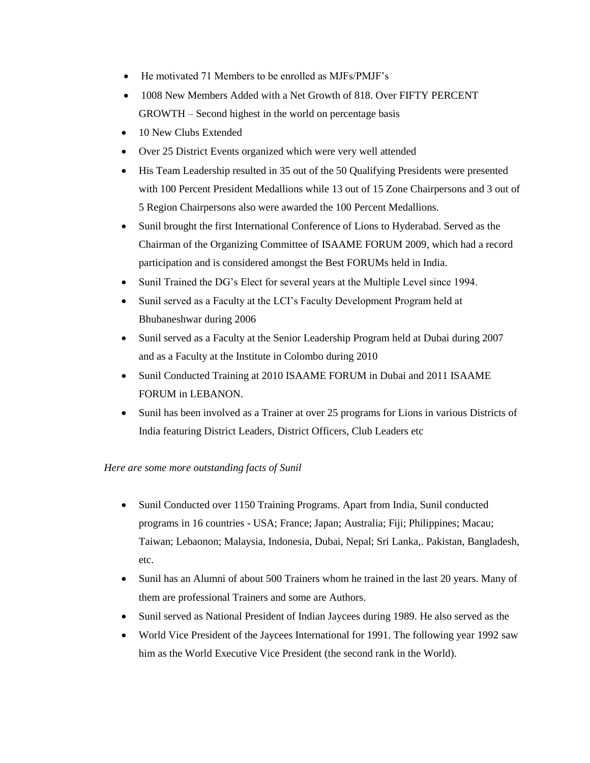- He motivated 71 Members to be enrolled as MJFs/PMJF's
- 1008 New Members Added with a Net Growth of 818. Over FIFTY PERCENT GROWTH – Second highest in the world on percentage basis
- 10 New Clubs Extended
- Over 25 District Events organized which were very well attended
- His Team Leadership resulted in 35 out of the 50 Qualifying Presidents were presented with 100 Percent President Medallions while 13 out of 15 Zone Chairpersons and 3 out of 5 Region Chairpersons also were awarded the 100 Percent Medallions.
- Sunil brought the first International Conference of Lions to Hyderabad. Served as the Chairman of the Organizing Committee of ISAAME FORUM 2009, which had a record participation and is considered amongst the Best FORUMs held in India.
- Sunil Trained the DG's Elect for several years at the Multiple Level since 1994.
- Sunil served as a Faculty at the LCI's Faculty Development Program held at Bhubaneshwar during 2006
- Sunil served as a Faculty at the Senior Leadership Program held at Dubai during 2007 and as a Faculty at the Institute in Colombo during 2010
- Sunil Conducted Training at 2010 ISAAME FORUM in Dubai and 2011 ISAAME FORUM in LEBANON.
- Sunil has been involved as a Trainer at over 25 programs for Lions in various Districts of India featuring District Leaders, District Officers, Club Leaders etc

### *Here are some more outstanding facts of Sunil*

- Sunil Conducted over 1150 Training Programs. Apart from India, Sunil conducted programs in 16 countries - USA; France; Japan; Australia; Fiji; Philippines; Macau; Taiwan; Lebaonon; Malaysia, Indonesia, Dubai, Nepal; Sri Lanka,. Pakistan, Bangladesh, etc.
- Sunil has an Alumni of about 500 Trainers whom he trained in the last 20 years. Many of them are professional Trainers and some are Authors.
- Sunil served as National President of Indian Jaycees during 1989. He also served as the
- World Vice President of the Jaycees International for 1991. The following year 1992 saw him as the World Executive Vice President (the second rank in the World).